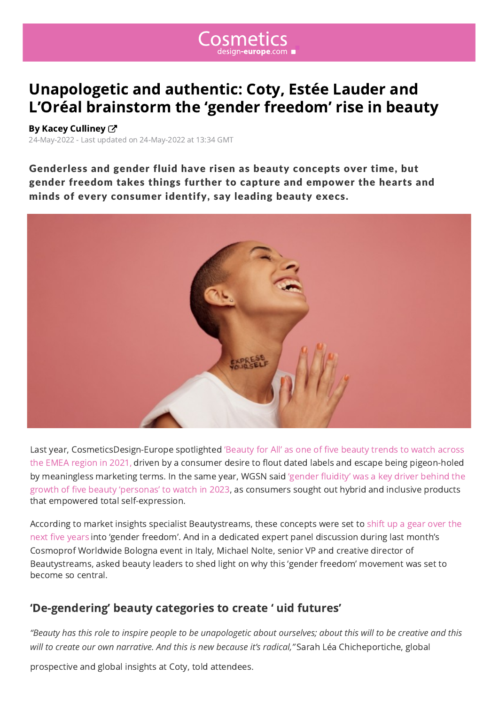

## Unapologetic and authentic: Coty, Estée Lauder and [L'Oréal brainstorm the 'gender freedom' rise in beauty](https://www.cosmeticsdesign-europe.com/)

## By Kacey Culliney  $C^{\prime}$

24-May-2022 - Last updated on 24-May-2022 at 13:34 GMT

Genderless and gender fluid have risen as beauty concepts over time, but gender freedom takes things further to capture and empower the hearts and minds of every [co](https://www.cosmeticsdesign-europe.com/Info/Contact-the-Editor?authorId=206)nsumer identify, say leading beauty execs.



Last year, CosmeticsDesign-Europe spotlighted 'Beauty for All' as one of five beauty trends to watch across the EMEA region in 2021, driven by a consumer desire to flout dated labels and escape being pigeon-holed by meaningless marketing terms. In the same year, WGSN said 'gender fluidity' was a key driver behind the growth of five beauty 'personas' to watch in 2023, as consumers sought out hybrid and inclusive products that empowered total self-expression.

According to market insights specialist Beautystreams, these concepts were set to shift up a gear over the next five years into 'gender freedom'. And in a dedicated expert panel discussion during last month's Cosmoprof Worldwide Bologna event in Italy, Michael Nolte, senior VP and creative director of Beautystreams, asked beauty leaders to shed light on why this 'gender freedom' movement was set to become so central.

## 'De-gendering' beauty categories to create ' uid futures'

*"Beauty has this role to inspire people to be unapologetic about ourselves; about this will to be creative and this will to create our own narrative. And this is new because it's radical,"* Sarah Léa Chicheportiche, global

prospective and global insights at Coty, told attendees.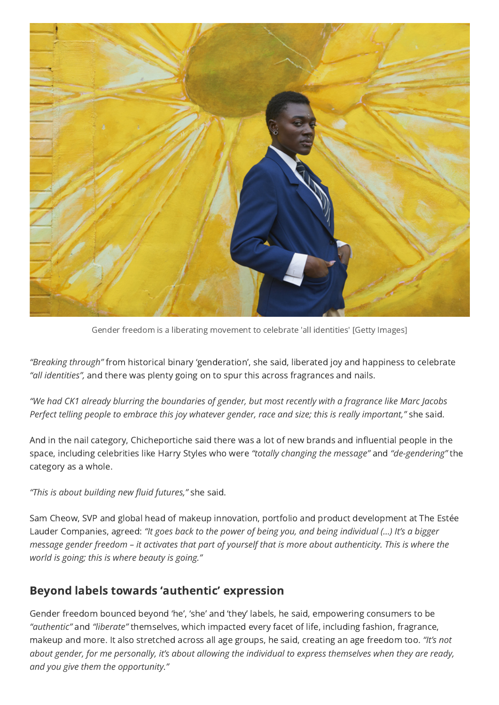

Gender freedom is a liberating movement to celebrate 'all identities' [Getty Images]

*"Breaking through"* from historical binary 'genderation', she said, liberated joy and happiness to celebrate *"all identities",* and there was plenty going on to spur this across fragrances and nails.

*"We had CK1 already blurring the boundaries of gender, but most recently with a fragrance like Marc Jacobs Perfect telling people to embrace this joy whatever gender, race and size; this is really important,"* she said.

And in the nail category, Chicheportiche said there was a lot of new brands and influential people in the space, including celebrities like Harry Styles who were *"totally changing the message"* and *"de-gendering"* the category as a whole.

*"This is about building new fluid futures,"* she said.

Sam Cheow, SVP and global head of makeup innovation, portfolio and product development at The Estée Lauder Companies, agreed: *"It goes back to the power of being you, and being individual (…) It's a bigger message gender freedom – it activates that part of yourself that is more about authenticity. This is where the world is going; this is where beauty is going."*

## Beyond labels towards 'authentic' expression

Gender freedom bounced beyond 'he', 'she' and 'they' labels, he said, empowering consumers to be *"authentic"* and *"liberate"* themselves, which impacted every facet of life, including fashion, fragrance, makeup and more. It also stretched across all age groups, he said, creating an age freedom too. *"It's not about gender, for me personally, it's about allowing the individual to express themselves when they are ready, and you give them the opportunity."*